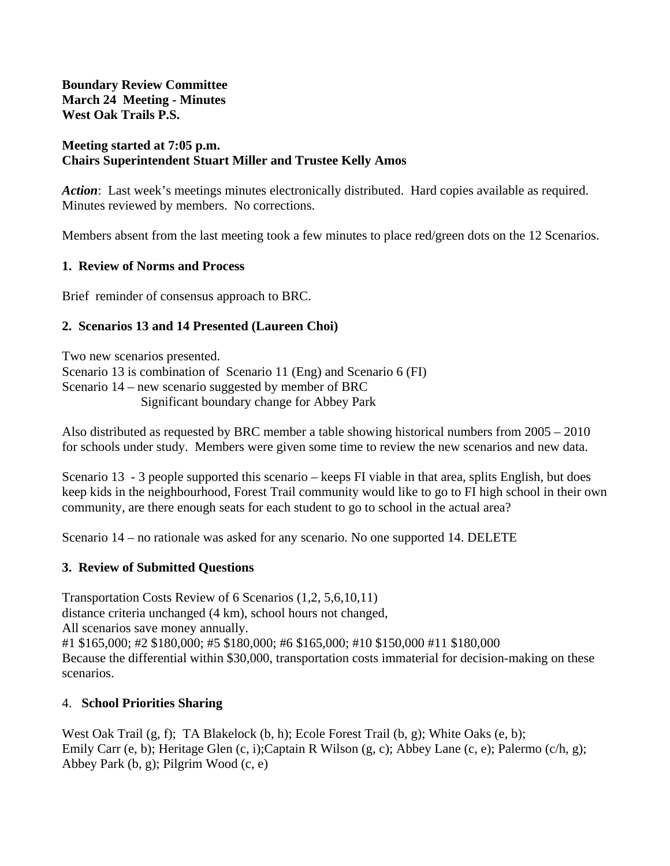**Boundary Review Committee March 24 Meeting - Minutes West Oak Trails P.S.** 

#### **Meeting started at 7:05 p.m. Chairs Superintendent Stuart Miller and Trustee Kelly Amos**

*Action*: Last week's meetings minutes electronically distributed. Hard copies available as required. Minutes reviewed by members. No corrections.

Members absent from the last meeting took a few minutes to place red/green dots on the 12 Scenarios.

#### **1. Review of Norms and Process**

Brief reminder of consensus approach to BRC.

## **2. Scenarios 13 and 14 Presented (Laureen Choi)**

Two new scenarios presented. Scenario 13 is combination of Scenario 11 (Eng) and Scenario 6 (FI) Scenario 14 – new scenario suggested by member of BRC Significant boundary change for Abbey Park

Also distributed as requested by BRC member a table showing historical numbers from 2005 – 2010 for schools under study. Members were given some time to review the new scenarios and new data.

Scenario 13 - 3 people supported this scenario – keeps FI viable in that area, splits English, but does keep kids in the neighbourhood, Forest Trail community would like to go to FI high school in their own community, are there enough seats for each student to go to school in the actual area?

Scenario 14 – no rationale was asked for any scenario. No one supported 14. DELETE

## **3. Review of Submitted Questions**

Transportation Costs Review of 6 Scenarios (1,2, 5,6,10,11) distance criteria unchanged (4 km), school hours not changed, All scenarios save money annually. #1 \$165,000; #2 \$180,000; #5 \$180,000; #6 \$165,000; #10 \$150,000 #11 \$180,000 Because the differential within \$30,000, transportation costs immaterial for decision-making on these scenarios.

## 4. **School Priorities Sharing**

West Oak Trail (g, f); TA Blakelock (b, h); Ecole Forest Trail (b, g); White Oaks (e, b); Emily Carr (e, b); Heritage Glen (c, i);Captain R Wilson (g, c); Abbey Lane (c, e); Palermo (c/h, g); Abbey Park (b, g); Pilgrim Wood (c, e)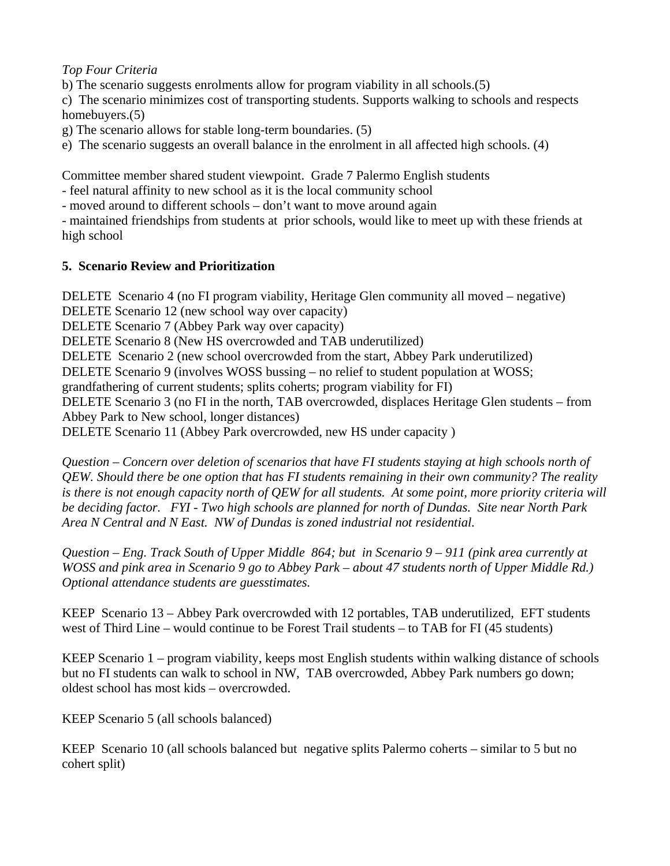# *Top Four Criteria*

b) The scenario suggests enrolments allow for program viability in all schools.(5)

c) The scenario minimizes cost of transporting students. Supports walking to schools and respects homebuyers.(5)

g) The scenario allows for stable long-term boundaries. (5)

e) The scenario suggests an overall balance in the enrolment in all affected high schools. (4)

Committee member shared student viewpoint. Grade 7 Palermo English students

- feel natural affinity to new school as it is the local community school

- moved around to different schools – don't want to move around again

- maintained friendships from students at prior schools, would like to meet up with these friends at high school

# **5. Scenario Review and Prioritization**

DELETE Scenario 4 (no FI program viability, Heritage Glen community all moved – negative) DELETE Scenario 12 (new school way over capacity) DELETE Scenario 7 (Abbey Park way over capacity) DELETE Scenario 8 (New HS overcrowded and TAB underutilized) DELETE Scenario 2 (new school overcrowded from the start, Abbey Park underutilized) DELETE Scenario 9 (involves WOSS bussing – no relief to student population at WOSS; grandfathering of current students; splits coherts; program viability for FI) DELETE Scenario 3 (no FI in the north, TAB overcrowded, displaces Heritage Glen students – from Abbey Park to New school, longer distances) DELETE Scenario 11 (Abbey Park overcrowded, new HS under capacity )

*Question – Concern over deletion of scenarios that have FI students staying at high schools north of QEW. Should there be one option that has FI students remaining in their own community? The reality is there is not enough capacity north of QEW for all students. At some point, more priority criteria will be deciding factor. FYI - Two high schools are planned for north of Dundas. Site near North Park Area N Central and N East. NW of Dundas is zoned industrial not residential.* 

*Question – Eng. Track South of Upper Middle 864; but in Scenario 9 – 911 (pink area currently at WOSS and pink area in Scenario 9 go to Abbey Park – about 47 students north of Upper Middle Rd.) Optional attendance students are guesstimates.* 

KEEP Scenario 13 – Abbey Park overcrowded with 12 portables, TAB underutilized, EFT students west of Third Line – would continue to be Forest Trail students – to TAB for FI (45 students)

KEEP Scenario 1 – program viability, keeps most English students within walking distance of schools but no FI students can walk to school in NW, TAB overcrowded, Abbey Park numbers go down; oldest school has most kids – overcrowded.

KEEP Scenario 5 (all schools balanced)

KEEP Scenario 10 (all schools balanced but negative splits Palermo coherts – similar to 5 but no cohert split)